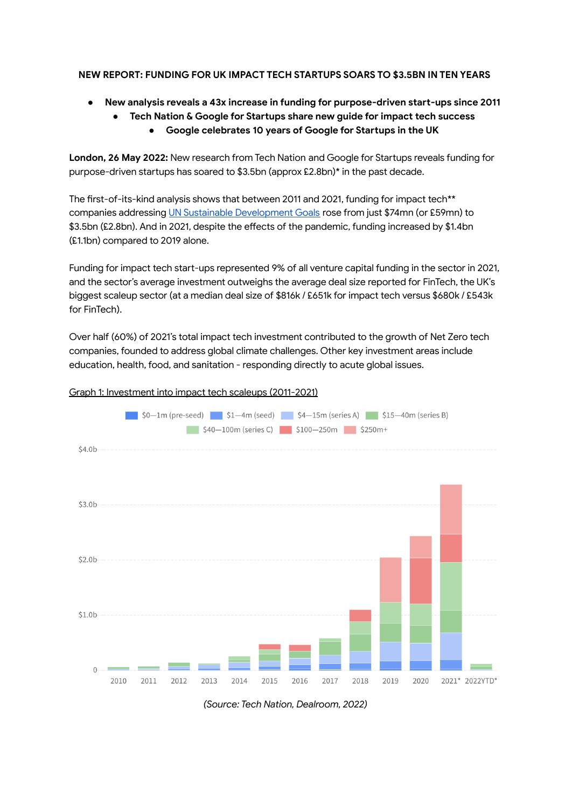## **NEW REPORT: FUNDING FOR UK IMPACT TECH STARTUPS SOARS TO \$3.5BN IN TEN YEARS**

- **● New analysis reveals a 43x increase in funding for purpose-driven start-ups since 2011**
	- **● Tech Nation & Google for Startups share new guide for impact tech success ● Google celebrates 10 years of Google for Startups in the UK**

**London, 26 May 2022:** New research from Tech Nation and Google for Startups reveals funding for purpose-driven startups has soared to \$3.5bn (approx £2.8bn)\* in the past decade.

The first-of-its-kind analysis shows that between 2011 and 2021, funding for impact tech\*\* companies addressing UN Sustainable [Development](https://sdgs.un.org/goals) Goals rose from just \$74mn (or £59mn) to \$3.5bn (£2.8bn). And in 2021, despite the effects of the pandemic, funding increased by \$1.4bn (£1.1bn) compared to 2019 alone.

Funding for impact tech start-ups represented 9% of all venture capital funding in the sector in 2021, and the sector's average investment outweighs the average deal size reported for FinTech, the UK's biggest scaleup sector (at a median deal size of \$816k / £651k for impact tech versus \$680k / £543k for FinTech).

Over half (60%) of 2021's total impact tech investment contributed to the growth of Net Zero tech companies, founded to address global climate challenges. Other key investment areas include education, health, food, and sanitation - responding directly to acute global issues.

#### Graph 1: Investment into impact tech scaleups (2011-2021)



*(Source: Tech Nation, Dealroom, 2022)*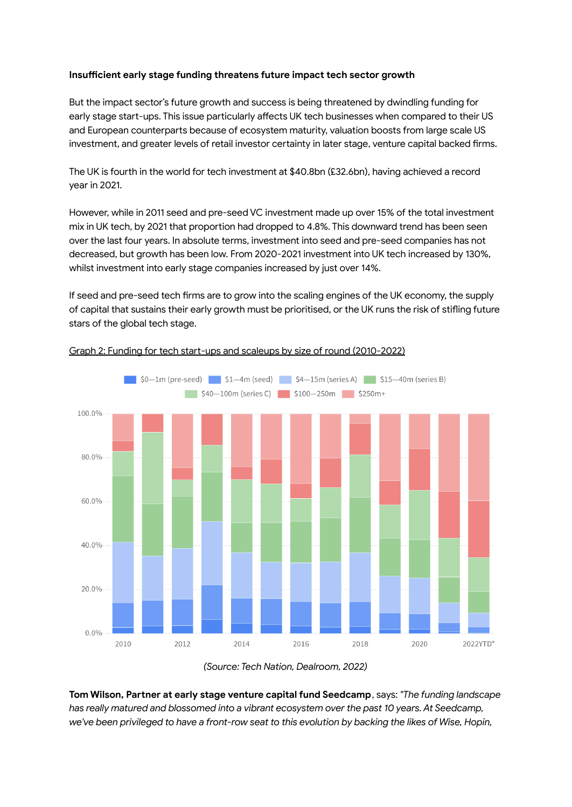### **Insufficient early stage funding threatens future impact tech sector growth**

But the impact sector's future growth and success is being threatened by dwindling funding for early stage start-ups. This issue particularly affects UK tech businesses when compared to their US and European counterparts because of ecosystem maturity, valuation boosts from large scale US investment, and greater levels of retail investor certainty in later stage, venture capital backed firms.

The UK is fourth in the world for tech investment at \$40.8bn (£32.6bn), having achieved a record year in 2021.

However, while in 2011 seed and pre-seed VC investment made up over 15% of the total investment mix in UK tech, by 2021 that proportion had dropped to 4.8%. This downward trend has been seen over the last four years. In absolute terms, investment into seed and pre-seed companies has not decreased, but growth has been low. From 2020-2021 investment into UK tech increased by 130%, whilst investment into early stage companies increased by just over 14%.

If seed and pre-seed tech firms are to grow into the scaling engines of the UK economy, the supply of capital that sustains their early growth must be prioritised, or the UK runs the risk of stifling future stars of the global tech stage.



### Graph 2: Funding for tech start-ups and scaleups by size of round (2010-2022)



**Tom Wilson, Partner at early stage venture capital fund Seedcamp**, says: *"The funding landscape has really matured and blossomed into a vibrant ecosystem over the past 10 years. At Seedcamp,* we've been privileged to have a front-row seat to this evolution by backing the likes of Wise, Hopin,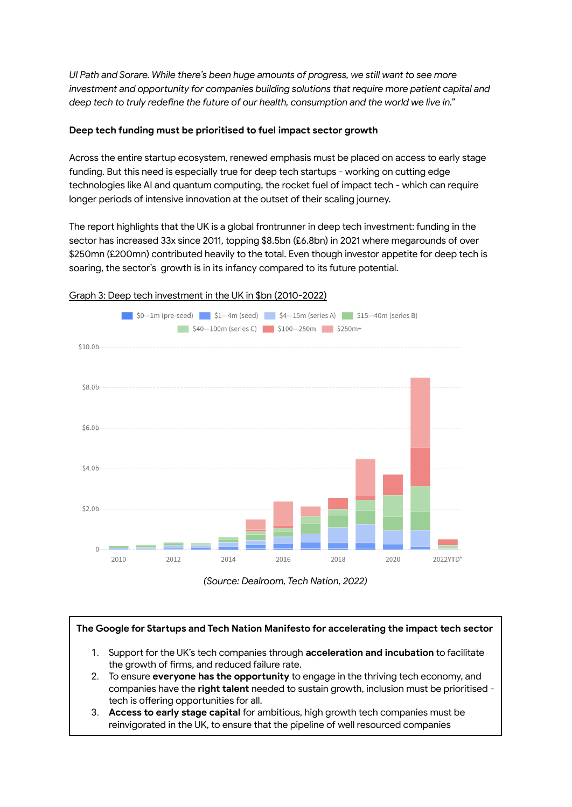*UI Path and Sorare. While there's been huge amounts of progress, we still want to see more investment and opportunity for companies building solutions that require more patient capital and deep tech to truly redefine the future of our health, consumption and the world we live in."*

## **Deep tech funding must be prioritised to fuel impact sector growth**

Across the entire startup ecosystem, renewed emphasis must be placed on access to early stage funding. But this need is especially true for deep tech startups - working on cutting edge technologies like AI and quantum computing, the rocket fuel of impact tech - which can require longer periods of intensive innovation at the outset of their scaling journey.

The report highlights that the UK is a global frontrunner in deep tech investment: funding in the sector has increased 33x since 2011, topping \$8.5bn (£6.8bn) in 2021 where megarounds of over \$250mn (£200mn) contributed heavily to the total. Even though investor appetite for deep tech is soaring, the sector's growth is in its infancy compared to its future potential.



### Graph 3: Deep tech investment in the UK in \$bn (2010-2022)



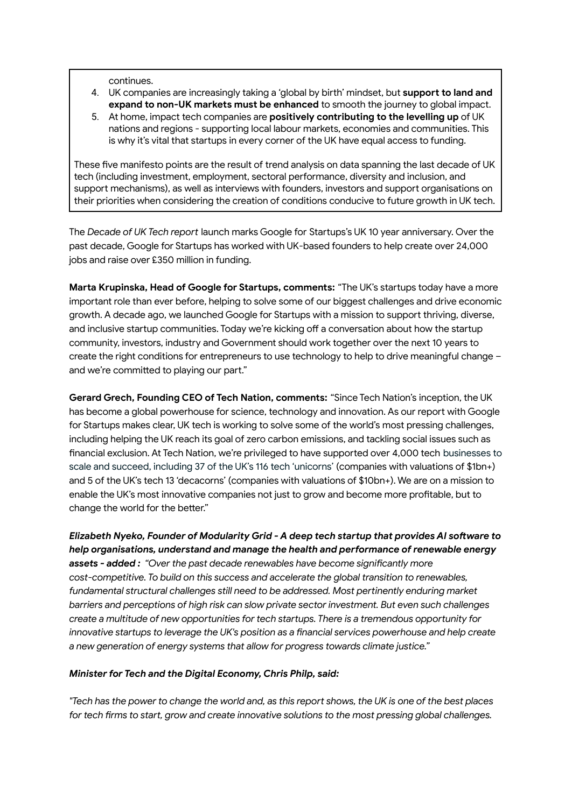continues.

- 4. UK companies are increasingly taking a 'global by birth' mindset, but **support to land and expand to non-UK markets must be enhanced** to smooth the journey to global impact.
- 5. At home, impact tech companies are **positively contributing to the levelling up** of UK nations and regions - supporting local labour markets, economies and communities. This is why it's vital that startups in every corner of the UK have equal access to funding.

These five manifesto points are the result of trend analysis on data spanning the last decade of UK tech (including investment, employment, sectoral performance, diversity and inclusion, and support mechanisms), as well as interviews with founders, investors and support organisations on their priorities when considering the creation of conditions conducive to future growth in UK tech.

The *Decade of UK Tech report* launch marks Google for Startups's UK 10 year anniversary. Over the past decade, Google for Startups has worked with UK-based founders to help create over 24,000 jobs and raise over £350 million in funding.

**Marta Krupinska, Head of Google for Startups, comments:** "The UK's startups today have a more important role than ever before, helping to solve some of our biggest challenges and drive economic growth. A decade ago, we launched Google for Startups with a mission to support thriving, diverse, and inclusive startup communities. Today we're kicking off a conversation about how the startup community, investors, industry and Government should work together over the next 10 years to create the right conditions for entrepreneurs to use technology to help to drive meaningful change – and we're committed to playing our part."

**Gerard Grech, Founding CEO of Tech Nation, comments:** "Since Tech Nation's inception, the UK has become a global powerhouse for science, technology and innovation. As our report with Google for Startups makes clear, UK tech is working to solve some of the world's most pressing challenges, including helping the UK reach its goal of zero carbon emissions, and tackling social issues such as financial exclusion. At Tech Nation, we're privileged to have supported over 4,000 tech businesses to scale and succeed, including 37 of the UK's 116 tech 'unicorns' (companies with valuations of \$1bn+) and 5 of the UK's tech 13 'decacorns' (companies with valuations of \$10bn+). We are on a mission to enable the UK's most innovative companies not just to grow and become more profitable, but to change the world for the better."

*Elizabeth Nyeko, Founder of Modularity Grid - A deep tech startup that provides AI software to help organisations, understand and manage the health and performance of renewable energy assets - added : "Over the past decade renewables have become significantly more cost-competitive. To build on this success and accelerate the global transition to renewables, fundamental structural challenges still need to be addressed. Most pertinently enduring market barriers and perceptions of high risk can slow private sector investment. But even such challenges create a multitude of new opportunities for tech startups. There is a tremendous opportunity for innovative startups to leverage the UK's position as a financial services powerhouse and help create a new generation of energy systems that allow for progress towards climate justice."*

### *Minister for Tech and the Digital Economy, Chris Philp, said:*

"Tech has the power to change the world and, as this report shows, the UK is one of the best places *for tech firms to start, grow and create innovative solutions to the most pressing global challenges.*